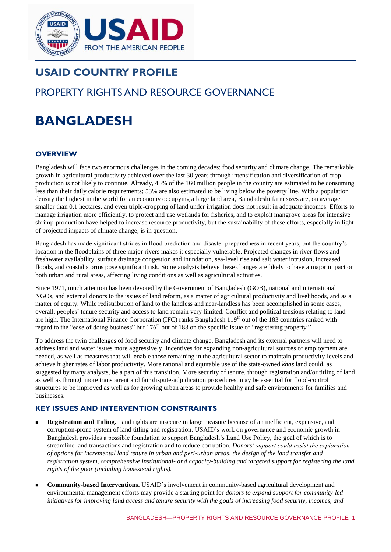

## **USAID COUNTRY PROFILE**

# PROPERTY RIGHTS AND RESOURCE GOVERNANCE

# **BANGLADESH**

## **OVERVIEW**

Bangladesh will face two enormous challenges in the coming decades: food security and climate change. The remarkable growth in agricultural productivity achieved over the last 30 years through intensification and diversification of crop production is not likely to continue. Already, 45% of the 160 million people in the country are estimated to be consuming less than their daily calorie requirements; 53% are also estimated to be living below the poverty line. With a population density the highest in the world for an economy occupying a large land area, Bangladeshi farm sizes are, on average, smaller than 0.1 hectares, and even triple-cropping of land under irrigation does not result in adequate incomes. Efforts to manage irrigation more efficiently, to protect and use wetlands for fisheries, and to exploit mangrove areas for intensive shrimp-production have helped to increase resource productivity, but the sustainability of these efforts, especially in light of projected impacts of climate change, is in question.

Bangladesh has made significant strides in flood prediction and disaster preparedness in recent years, but the country's location in the floodplains of three major rivers makes it especially vulnerable. Projected changes in river flows and freshwater availability, surface drainage congestion and inundation, sea-level rise and salt water intrusion, increased floods, and coastal storms pose significant risk. Some analysts believe these changes are likely to have a major impact on both urban and rural areas, affecting living conditions as well as agricultural activities.

Since 1971, much attention has been devoted by the Government of Bangladesh (GOB), national and international NGOs, and external donors to the issues of land reform, as a matter of agricultural productivity and livelihoods, and as a matter of equity. While redistribution of land to the landless and near-landless has been accomplished in some cases, overall, peoples' tenure security and access to land remain very limited. Conflict and political tensions relating to land are high. The International Finance Corporation (IFC) ranks Bangladesh 119<sup>th</sup> out of the 183 countries ranked with regard to the "ease of doing business" but 176<sup>th</sup> out of 183 on the specific issue of "registering property."

To address the twin challenges of food security and climate change, Bangladesh and its external partners will need to address land and water issues more aggressively. Incentives for expanding non-agricultural sources of employment are needed, as well as measures that will enable those remaining in the agricultural sector to maintain productivity levels and achieve higher rates of labor productivity. More rational and equitable use of the state-owned *khas* land could, as suggested by many analysts, be a part of this transition. More security of tenure, through registration and/or titling of land as well as through more transparent and fair dispute-adjudication procedures, may be essential for flood-control structures to be improved as well as for growing urban areas to provide healthy and safe environments for families and businesses.

## **KEY ISSUES AND INTERVENTION CONSTRAINTS**

- **Registration and Titling***.* Land rights are insecure in large measure because of an inefficient, expensive, and corruption-prone system of land titling and registration. USAID's work on governance and economic growth in Bangladesh provides a possible foundation to support Bangladesh's Land Use Policy, the goal of which is to streamline land transactions and registration and to reduce corruption. *Donors' support could assist the exploration of options for incremental land tenure in urban and peri-urban areas, the design of the land transfer and registration system, comprehensive institutional- and capacity-building and targeted support for registering the land rights of the poor (including homestead rights).*
- **Community-based Interventions.** USAID's involvement in community-based agricultural development and environmental management efforts may provide a starting point for *donors to expand support for community-led initiatives for improving land access and tenure security with the goals of increasing food security, incomes, and*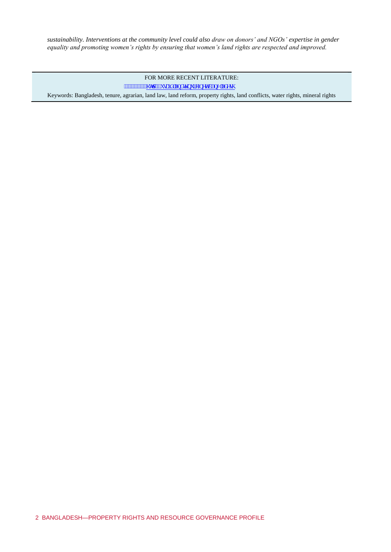*sustainability. Interventions at the community level could also draw on donors' and NGOs' expertise in gender equality and promoting women's rights by ensuring that women's land rights are respected and improved.* 

FOR MORE RECENT LITERATURE:

www.www.j wr <db/>dbwckf rcpf vgpwtgQpgvkdcpi rcf guj

Keywords: Bangladesh, tenure, agrarian, land law, land reform, property rights, land conflicts, water rights, mineral rights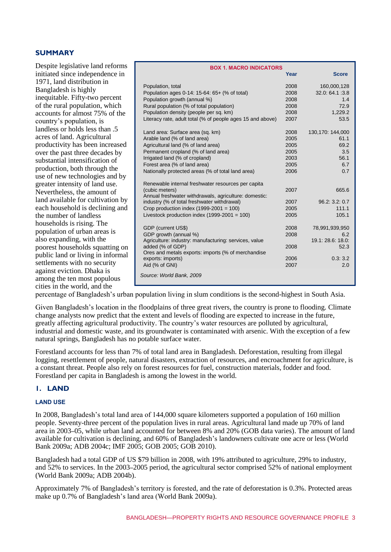#### **SUMMARY**

Despite legislative land reforms initiated since independence in 1971, land distribution in Bangladesh is highly inequitable. Fifty-two percent of the rural population, which accounts for almost 75% of the country's population, is landless or holds less than .5 acres of land. Agricultural productivity has been increased over the past three decades by substantial intensification of production, both through the use of new technologies and by greater intensity of land use. Nevertheless, the amount of land available for cultivation by each household is declining and the number of landless households is rising. The population of urban areas is also expanding, with the poorest households squatting on public land or living in informal settlements with no security against eviction. Dhaka is among the ten most populous cities in the world, and the

| <b>BOX 1. MACRO INDICATORS</b>                                         |      |                   |  |  |
|------------------------------------------------------------------------|------|-------------------|--|--|
|                                                                        | Year | <b>Score</b>      |  |  |
| Population, total                                                      | 2008 | 160,000,128       |  |  |
| Population ages 0-14: 15-64: 65+ (% of total)                          | 2008 | 32.0: 64.1:3.8    |  |  |
| Population growth (annual %)                                           | 2008 | 1.4               |  |  |
| Rural population (% of total population)                               | 2008 | 72.9              |  |  |
| Population density (people per sq. km)                                 | 2008 | 1,229.2           |  |  |
| Literacy rate, adult total (% of people ages 15 and above)             | 2007 | 53.5              |  |  |
| Land area: Surface area (sq. km)                                       | 2008 | 130,170: 144,000  |  |  |
| Arable land (% of land area)                                           | 2005 | 61.1              |  |  |
| Agricultural land (% of land area)                                     | 2005 | 69.2              |  |  |
| Permanent cropland (% of land area)                                    | 2005 | 3.5               |  |  |
| Irrigated land (% of cropland)                                         | 2003 | 56.1              |  |  |
| Forest area (% of land area)                                           | 2005 | 6.7               |  |  |
| Nationally protected areas (% of total land area)                      | 2006 | 0.7               |  |  |
| Renewable internal freshwater resources per capita                     |      |                   |  |  |
| (cubic meters)                                                         | 2007 | 665.6             |  |  |
| Annual freshwater withdrawals, agriculture: domestic:                  |      |                   |  |  |
| industry (% of total freshwater withdrawal)                            | 2007 | 96.2: 3.2: 0.7    |  |  |
| Crop production index $(1999-2001 = 100)$                              | 2005 | 111.1             |  |  |
| Livestock production index $(1999-2001 = 100)$                         | 2005 | 105.1             |  |  |
| GDP (current US\$)                                                     | 2008 | 78,991,939,950    |  |  |
| GDP growth (annual %)                                                  | 2008 | 6.2               |  |  |
| Agriculture: industry: manufacturing: services, value                  |      | 19.1: 28.6: 18.0: |  |  |
| added (% of GDP)<br>Ores and metals exports: imports (% of merchandise | 2008 | 52.3              |  |  |
| exports: imports)                                                      | 2006 | 0.3:3.2           |  |  |
| Aid (% of GNI)                                                         | 2007 | 2.0               |  |  |
| Source: World Bank, 2009                                               |      |                   |  |  |

percentage of Bangladesh's urban population living in slum conditions is the second-highest in South Asia.

Given Bangladesh's location in the floodplains of three great rivers, the country is prone to flooding. Climate change analysts now predict that the extent and levels of flooding are expected to increase in the future, greatly affecting agricultural productivity. The country's water resources are polluted by agricultural, industrial and domestic waste, and its groundwater is contaminated with arsenic. With the exception of a few natural springs, Bangladesh has no potable surface water.

Forestland accounts for less than 7% of total land area in Bangladesh. Deforestation, resulting from illegal logging, resettlement of people, natural disasters, extraction of resources, and encroachment for agriculture, is a constant threat. People also rely on forest resources for fuel, construction materials, fodder and food. Forestland per capita in Bangladesh is among the lowest in the world.

## **1. LAND**

#### **LAND USE**

In 2008, Bangladesh's total land area of 144,000 square kilometers supported a population of 160 million people. Seventy-three percent of the population lives in rural areas. Agricultural land made up 70% of land area in 2003–05, while urban land accounted for between 8% and 20% (GOB data varies). The amount of land available for cultivation is declining, and 60% of Bangladesh's landowners cultivate one acre or less (World Bank 2009a; ADB 2004c; IMF 2005; GOB 2005; GOB 2010).

Bangladesh had a total GDP of US \$79 billion in 2008, with 19% attributed to agriculture, 29% to industry, and 52% to services. In the 2003–2005 period, the agricultural sector comprised 52% of national employment (World Bank 2009a; ADB 2004b).

Approximately 7% of Bangladesh's territory is forested, and the rate of deforestation is 0.3%. Protected areas make up 0.7% of Bangladesh's land area (World Bank 2009a).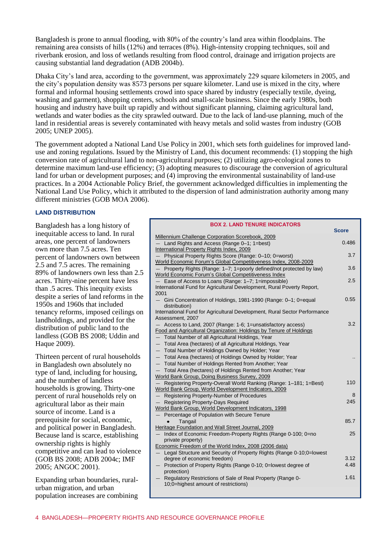Bangladesh is prone to annual flooding, with 80% of the country's land area within floodplains. The remaining area consists of hills (12%) and terraces (8%). High-intensity cropping techniques, soil and riverbank erosion, and loss of wetlands resulting from flood control, drainage and irrigation projects are causing substantial land degradation (ADB 2004b).

Dhaka City's land area, according to the government, was approximately 229 square kilometers in 2005, and the city's population density was 8573 persons per square kilometer. Land use is mixed in the city, where formal and informal housing settlements crowd into space shared by industry (especially textile, dyeing, washing and garment), shopping centers, schools and small-scale business. Since the early 1980s, both housing and industry have built up rapidly and without significant planning, claiming agricultural land, wetlands and water bodies as the city sprawled outward. Due to the lack of land-use planning, much of the land in residential areas is severely contaminated with heavy metals and solid wastes from industry (GOB 2005; UNEP 2005).

The government adopted a National Land Use Policy in 2001, which sets forth guidelines for improved landuse and zoning regulations. Issued by the Ministry of Land, this document recommends: (1) stopping the high conversion rate of agricultural land to non-agricultural purposes; (2) utilizing agro-ecological zones to determine maximum land-use efficiency; (3) adopting measures to discourage the conversion of agricultural land for urban or development purposes; and (4) improving the environmental sustainability of land-use practices. In a 2004 Actionable Policy Brief, the government acknowledged difficulties in implementing the National Land Use Policy, which it attributed to the dispersion of land administration authority among many different ministries (GOB MOA 2006).

#### **LAND DISTRIBUTION**

Bangladesh has a long history of inequitable access to land. In rural areas, one percent of landowners own more than 7.5 acres. Ten percent of landowners own between 2.5 and 7.5 acres. The remaining 89% of landowners own less than 2.5 acres. Thirty-nine percent have less than .5 acres. This inequity exists despite a series of land reforms in the 1950s and 1960s that included tenancy reforms, imposed ceilings on landholdings, and provided for the distribution of public land to the landless (GOB BS 2008; Uddin and Haque 2009).

Thirteen percent of rural households in Bangladesh own absolutely no type of land, including for housing, and the number of landless households is growing. Thirty-one percent of rural households rely on agricultural labor as their main source of income. Land is a prerequisite for social, economic, and political power in Bangladesh. Because land is scarce, establishing ownership rights is highly competitive and can lead to violence (GOB BS 2008; ADB 2004c; IMF 2005; ANGOC 2001).

Expanding urban boundaries, ruralurban migration, and urban population increases are combining

| <b>BOX 2. LAND TENURE INDICATORS</b>                                                          |              |
|-----------------------------------------------------------------------------------------------|--------------|
|                                                                                               | <b>Score</b> |
| Millennium Challenge Corporation Scorebook, 2009                                              |              |
| Land Rights and Access (Range 0-1; 1=best)                                                    | 0.486        |
| International Property Rights Index, 2009                                                     |              |
| Physical Property Rights Score (Range: 0-10; 0=worst)                                         | 3.7          |
| World Economic Forum's Global Competitiveness Index, 2008-2009                                |              |
| Property Rights (Range: 1-7; 1=poorly defined/not protected by law)                           | 3.6          |
| World Economic Forum's Global Competitiveness Index                                           | 2.5          |
| - Ease of Access to Loans (Range: 1-7; 1=impossible)                                          |              |
| International Fund for Agricultural Development, Rural Poverty Report,<br>2001                |              |
|                                                                                               | 0.55         |
| Gini Concentration of Holdings, 1981-1990 (Range: 0-1; 0=equal<br>distribution)               |              |
| International Fund for Agricultural Development, Rural Sector Performance<br>Assessment, 2007 |              |
| Access to Land, 2007 (Range: 1-6; 1=unsatisfactory access)                                    | 3.2          |
| Food and Agricultural Organization: Holdings by Tenure of Holdings                            |              |
| - Total Number of all Agricultural Holdings, Year                                             |              |
| Total Area (hectares) of all Agricultural Holdings, Year<br>$\overline{\phantom{0}}$          |              |
| - Total Number of Holdings Owned by Holder; Year                                              |              |
| Total Area (hectares) of Holdings Owned by Holder; Year<br>$\qquad \qquad -$                  |              |
| Total Number of Holdings Rented from Another; Year                                            |              |
| Total Area (hectares) of Holdings Rented from Another; Year                                   |              |
| World Bank Group, Doing Business Survey, 2009                                                 |              |
| Registering Property-Overall World Ranking (Range: 1-181; 1=Best)                             | 110          |
| World Bank Group, World Development Indicators, 2009                                          |              |
| - Registering Property-Number of Procedures                                                   | 8            |
| Registering Property-Days Required                                                            | 245          |
| World Bank Group, World Development Indicators, 1998                                          |              |
| - Percentage of Population with Secure Tenure                                                 |              |
| Tangail                                                                                       | 85.7         |
| Heritage Foundation and Wall Street Journal, 2009                                             |              |
| Index of Economic Freedom-Property Rights (Range 0-100; 0=no<br>$\overline{\phantom{0}}$      | 25           |
| private property)                                                                             |              |
| Economic Freedom of the World Index, 2008 (2006 data)                                         |              |
| - Legal Structure and Security of Property Rights (Range 0-10:0=lowest                        |              |
| degree of economic freedom)                                                                   | 3.12         |
| Protection of Property Rights (Range 0-10; 0=lowest degree of                                 | 4.48         |
| protection)                                                                                   |              |
| Regulatory Restrictions of Sale of Real Property (Range 0-                                    | 1.61         |
| 10;0=highest amount of restrictions)                                                          |              |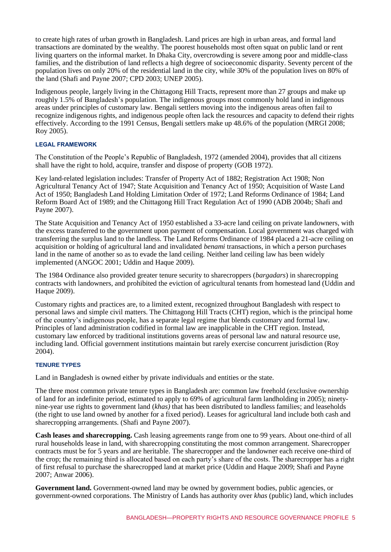to create high rates of urban growth in Bangladesh. Land prices are high in urban areas, and formal land transactions are dominated by the wealthy. The poorest households most often squat on public land or rent living quarters on the informal market. In Dhaka City, overcrowding is severe among poor and middle-class families, and the distribution of land reflects a high degree of socioeconomic disparity. Seventy percent of the population lives on only 20% of the residential land in the city, while 30% of the population lives on 80% of the land (Shafi and Payne 2007; CPD 2003; UNEP 2005).

Indigenous people, largely living in the Chittagong Hill Tracts, represent more than 27 groups and make up roughly 1.5% of Bangladesh's population. The indigenous groups most commonly hold land in indigenous areas under principles of customary law. Bengali settlers moving into the indigenous areas often fail to recognize indigenous rights, and indigenous people often lack the resources and capacity to defend their rights effectively. According to the 1991 Census, Bengali settlers make up 48.6% of the population (MRGI 2008; Roy 2005).

#### **LEGAL FRAMEWORK**

The Constitution of the People's Republic of Bangladesh, 1972 (amended 2004), provides that all citizens shall have the right to hold, acquire, transfer and dispose of property (GOB 1972).

Key land-related legislation includes: Transfer of Property Act of 1882; Registration Act 1908; Non Agricultural Tenancy Act of 1947; State Acquisition and Tenancy Act of 1950; Acquisition of Waste Land Act of 1950; Bangladesh Land Holding Limitation Order of 1972; Land Reforms Ordinance of 1984; Land Reform Board Act of 1989; and the Chittagong Hill Tract Regulation Act of 1990 (ADB 2004b; Shafi and Payne 2007).

The State Acquisition and Tenancy Act of 1950 established a 33-acre land ceiling on private landowners, with the excess transferred to the government upon payment of compensation. Local government was charged with transferring the surplus land to the landless. The Land Reforms Ordinance of 1984 placed a 21-acre ceiling on acquisition or holding of agricultural land and invalidated *benami* transactions, in which a person purchases land in the name of another so as to evade the land ceiling. Neither land ceiling law has been widely implemented (ANGOC 2001; Uddin and Haque 2009).

The 1984 Ordinance also provided greater tenure security to sharecroppers (*bargadars*) in sharecropping contracts with landowners, and prohibited the eviction of agricultural tenants from homestead land (Uddin and Haque 2009).

Customary rights and practices are, to a limited extent, recognized throughout Bangladesh with respect to personal laws and simple civil matters. The Chittagong Hill Tracts (CHT) region, which is the principal home of the country's indigenous people, has a separate legal regime that blends customary and formal law. Principles of land administration codified in formal law are inapplicable in the CHT region. Instead, customary law enforced by traditional institutions governs areas of personal law and natural resource use, including land. Official government institutions maintain but rarely exercise concurrent jurisdiction (Roy 2004).

#### **TENURE TYPES**

Land in Bangladesh is owned either by private individuals and entities or the state.

The three most common private tenure types in Bangladesh are: common law freehold (exclusive ownership of land for an indefinite period, estimated to apply to 69% of agricultural farm landholding in 2005); ninetynine-year use rights to government land (*khas)* that has been distributed to landless families; and leaseholds (the right to use land owned by another for a fixed period). Leases for agricultural land include both cash and sharecropping arrangements. (Shafi and Payne 2007).

**Cash leases and sharecropping.** Cash leasing agreements range from one to 99 years. About one-third of all rural households lease in land, with sharecropping constituting the most common arrangement. Sharecropper contracts must be for 5 years and are heritable. The sharecropper and the landowner each receive one-third of the crop; the remaining third is allocated based on each party's share of the costs. The sharecropper has a right of first refusal to purchase the sharecropped land at market price (Uddin and Haque 2009; Shafi and Payne 2007; Anwar 2006).

**Government land.** Government-owned land may be owned by government bodies, public agencies, or government-owned corporations. The Ministry of Lands has authority over *khas* (public) land, which includes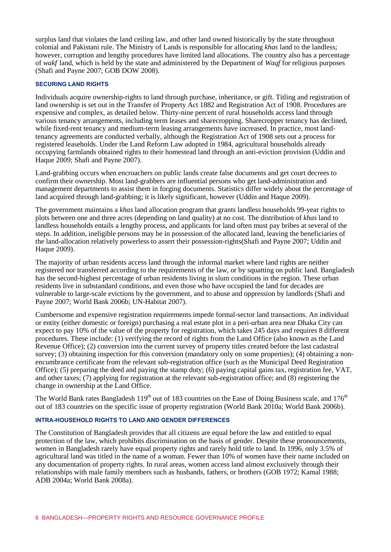surplus land that violates the land ceiling law, and other land owned historically by the state throughout colonial and Pakistani rule. The Ministry of Lands is responsible for allocating *khas* land to the landless; however, corruption and lengthy procedures have limited land allocations. The country also has a percentage of *wakf* land, which is held by the state and administered by the Department of *Waqf* for religious purposes (Shafi and Payne 2007; GOB DOW 2008).

#### **SECURING LAND RIGHTS**

Individuals acquire ownership-rights to land through purchase, inheritance, or gift. Titling and registration of land ownership is set out in the Transfer of Property Act 1882 and Registration Act of 1908. Procedures are expensive and complex, as detailed below. Thirty-nine percent of rural households access land through various tenancy arrangements, including term leases and sharecropping. Sharecropper tenancy has declined, while fixed-rent tenancy and medium-term leasing arrangements have increased. In practice, most landtenancy agreements are conducted verbally, although the Registration Act of 1908 sets out a process for registered leaseholds. Under the Land Reform Law adopted in 1984, agricultural households already occupying farmlands obtained rights to their homestead land through an anti-eviction provision (Uddin and Haque 2009; Shafi and Payne 2007).

Land-grabbing occurs when encroachers on public lands create false documents and get court decrees to confirm their ownership. Most land-grabbers are influential persons who get land-administration and management departments to assist them in forging documents. Statistics differ widely about the percentage of land acquired through land-grabbing; it is likely significant, however (Uddin and Haque 2009).

The government maintains a *khas* land allocation program that grants landless households 99-year rights to plots between one and three acres (depending on land quality) at no cost. The distribution of *khas* land to landless households entails a lengthy process, and applicants for land often must pay bribes at several of the steps. In addition, ineligible persons may be in possession of the allocated land, leaving the beneficiaries of the land-allocation relatively powerless to assert their possession-rights(Shafi and Payne 2007; Uddin and Haque 2009).

The majority of urban residents access land through the informal market where land rights are neither registered nor transferred according to the requirements of the law, or by squatting on public land. Bangladesh has the second-highest percentage of urban residents living in slum conditions in the region. These urban residents live in substandard conditions, and even those who have occupied the land for decades are vulnerable to large-scale evictions by the government, and to abuse and oppression by landlords (Shafi and Payne 2007; World Bank 2006b; UN-Habitat 2007).

Cumbersome and expensive registration requirements impede formal-sector land transactions. An individual or entity (either domestic or foreign) purchasing a real estate plot in a peri-urban area near Dhaka City can expect to pay 10% of the value of the property for registration, which takes 245 days and requires 8 different procedures. These include: (1) verifying the record of rights from the Land Office (also known as the Land Revenue Office); (2) conversion into the current survey of property titles created before the last cadastral survey; (3) obtaining inspection for this conversion (mandatory only on some properties); (4) obtaining a nonencumbrance certificate from the relevant sub-registration office (such as the Municipal Deed Registration Office); (5) preparing the deed and paying the stamp duty; (6) paying capital gains tax, registration fee, VAT, and other taxes; (7) applying for registration at the relevant sub-registration office; and (8) registering the change in ownership at the Land Office.

The World Bank rates Bangladesh  $119<sup>th</sup>$  out of 183 countries on the Ease of Doing Business scale, and  $176<sup>th</sup>$ out of 183 countries on the specific issue of property registration (World Bank 2010a; World Bank 2006b).

#### **INTRA-HOUSEHOLD RIGHTS TO LAND AND GENDER DIFFERENCES**

The Constitution of Bangladesh provides that all citizens are equal before the law and entitled to equal protection of the law, which prohibits discrimination on the basis of gender. Despite these pronouncements, women in Bangladesh rarely have equal property rights and rarely hold title to land. In 1996, only 3.5% of agricultural land was titled in the name of a woman. Fewer than 10% of women have their name included on any documentation of property rights. In rural areas, women access land almost exclusively through their relationships with male family members such as husbands, fathers, or brothers (GOB 1972; Kamal 1988; ADB 2004a; World Bank 2008a).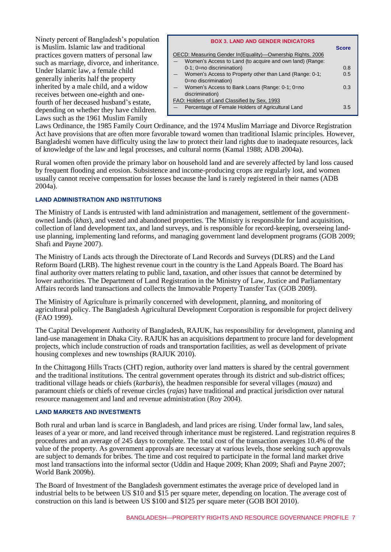Ninety percent of Bangladesh's population is Muslim. Islamic law and traditional practices govern matters of personal law such as marriage, divorce, and inheritance. Under Islamic law, a female child generally inherits half the property inherited by a male child, and a widow receives between one-eighth and onefourth of her deceased husband's estate, depending on whether they have children. Laws such as the 1961 Muslim Family

| <b>BOX 3. LAND AND GENDER INDICATORS</b>                                        |              |
|---------------------------------------------------------------------------------|--------------|
| OECD: Measuring Gender In (Equality)—Ownership Rights, 2006                     | <b>Score</b> |
| Women's Access to Land (to acquire and own land) (Range:                        |              |
| 0-1; 0=no discrimination)                                                       | 0.8          |
| Women's Access to Property other than Land (Range: 0-1;<br>0=no discrimination) | 0.5          |
| Women's Access to Bank Loans (Range: 0-1; 0=no<br>discrimination)               | 0.3          |
| FAO: Holders of Land Classified by Sex, 1993                                    |              |
| Percentage of Female Holders of Agricultural Land                               | 3.5          |

Laws Ordinance, the 1985 Family Court Ordinance, and the 1974 Muslim Marriage and Divorce Registration Act have provisions that are often more favorable toward women than traditional Islamic principles. However, Bangladeshi women have difficulty using the law to protect their land rights due to inadequate resources, lack of knowledge of the law and legal processes, and cultural norms (Kamal 1988; ADB 2004a).

Rural women often provide the primary labor on household land and are severely affected by land loss caused by frequent flooding and erosion. Subsistence and income-producing crops are regularly lost, and women usually cannot receive compensation for losses because the land is rarely registered in their names (ADB 2004a).

#### **LAND ADMINISTRATION AND INSTITUTIONS**

The Ministry of Lands is entrusted with land administration and management, settlement of the governmentowned lands (*khas*), and vested and abandoned properties. The Ministry is responsible for land acquisition, collection of land development tax, and land surveys, and is responsible for record-keeping, overseeing landuse planning, implementing land reforms, and managing government land development programs (GOB 2009; Shafi and Payne 2007).

The Ministry of Lands acts through the Directorate of Land Records and Surveys (DLRS) and the Land Reform Board (LRB). The highest revenue court in the country is the Land Appeals Board. The Board has final authority over matters relating to public land, taxation, and other issues that cannot be determined by lower authorities. The Department of Land Registration in the Ministry of Law, Justice and Parliamentary Affairs records land transactions and collects the Immovable Property Transfer Tax (GOB 2009).

The Ministry of Agriculture is primarily concerned with development, planning, and monitoring of agricultural policy. The Bangladesh Agricultural Development Corporation is responsible for project delivery (FAO 1999).

The Capital Development Authority of Bangladesh, RAJUK, has responsibility for development, planning and land-use management in Dhaka City. RAJUK has an acquisitions department to procure land for development projects, which include construction of roads and transportation facilities, as well as development of private housing complexes and new townships (RAJUK 2010).

In the Chittagong Hills Tracts (CHT) region, authority over land matters is shared by the central government and the traditional institutions. The central government operates through its district and sub-district offices; traditional village heads or chiefs (*karbaris*), the headmen responsible for several villages (*mauza*) and paramount chiefs or chiefs of revenue circles (*rajas*) have traditional and practical jurisdiction over natural resource management and land and revenue administration (Roy 2004).

#### **LAND MARKETS AND INVESTMENTS**

Both rural and urban land is scarce in Bangladesh, and land prices are rising. Under formal law, land sales, leases of a year or more, and land received through inheritance must be registered. Land registration requires 8 procedures and an average of 245 days to complete. The total cost of the transaction averages 10.4% of the value of the property. As government approvals are necessary at various levels, those seeking such approvals are subject to demands for bribes. The time and cost required to participate in the formal land market drive most land transactions into the informal sector (Uddin and Haque 2009; Khan 2009; Shafi and Payne 2007; World Bank 2009b).

The Board of Investment of the Bangladesh government estimates the average price of developed land in industrial belts to be between US \$10 and \$15 per square meter, depending on location. The average cost of construction on this land is between US \$100 and \$125 per square meter (GOB BOI 2010).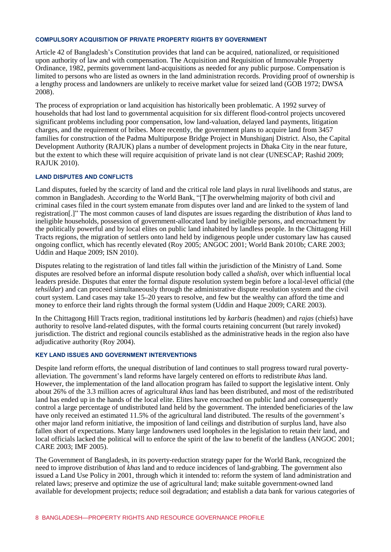#### **COMPULSORY ACQUISITION OF PRIVATE PROPERTY RIGHTS BY GOVERNMENT**

Article 42 of Bangladesh's Constitution provides that land can be acquired, nationalized, or requisitioned upon authority of law and with compensation. The Acquisition and Requisition of Immovable Property Ordinance, 1982, permits government land-acquisitions as needed for any public purpose. Compensation is limited to persons who are listed as owners in the land administration records. Providing proof of ownership is a lengthy process and landowners are unlikely to receive market value for seized land (GOB 1972; DWSA 2008).

The process of expropriation or land acquisition has historically been problematic. A 1992 survey of households that had lost land to governmental acquisition for six different flood-control projects uncovered significant problems including poor compensation, low land-valuation, delayed land payments, litigation charges, and the requirement of bribes. More recently, the government plans to acquire land from 3457 families for construction of the Padma Multipurpose Bridge Project in Munshiganj District. Also, the Capital Development Authority (RAJUK) plans a number of development projects in Dhaka City in the near future, but the extent to which these will require acquisition of private land is not clear (UNESCAP; Rashid 2009; RAJUK 2010).

#### **LAND DISPUTES AND CONFLICTS**

Land disputes, fueled by the scarcity of land and the critical role land plays in rural livelihoods and status, are common in Bangladesh. According to the World Bank, "[T]he overwhelming majority of both civil and criminal cases filed in the court system emanate from disputes over land and are linked to the system of land registration[.]" The most common causes of land disputes are issues regarding the distribution of *khas* land to ineligible households, possession of government-allocated land by ineligible persons, and encroachment by the politically powerful and by local elites on public land inhabited by landless people. In the Chittagong Hill Tracts regions, the migration of settlers onto land held by indigenous people under customary law has caused ongoing conflict, which has recently elevated (Roy 2005; ANGOC 2001; World Bank 2010b; CARE 2003; Uddin and Haque 2009; ISN 2010).

Disputes relating to the registration of land titles fall within the jurisdiction of the Ministry of Land. Some disputes are resolved before an informal dispute resolution body called a *shalish,* over which influential local leaders preside. Disputes that enter the formal dispute resolution system begin before a local-level official (the *tehsildar*) and can proceed simultaneously through the administrative dispute resolution system and the civil court system. Land cases may take 15–20 years to resolve, and few but the wealthy can afford the time and money to enforce their land rights through the formal system (Uddin and Haque 2009; CARE 2003).

In the Chittagong Hill Tracts region, traditional institutions led by *karbaris* (headmen) and *rajas* (chiefs) have authority to resolve land-related disputes, with the formal courts retaining concurrent (but rarely invoked) jurisdiction. The district and regional councils established as the administrative heads in the region also have adjudicative authority (Roy 2004).

#### **KEY LAND ISSUES AND GOVERNMENT INTERVENTIONS**

Despite land reform efforts, the unequal distribution of land continues to stall progress toward rural povertyalleviation. The government's land reforms have largely centered on efforts to redistribute *khas* land. However, the implementation of the land allocation program has failed to support the legislative intent. Only about 26% of the 3.3 million acres of agricultural *khas* land has been distributed, and most of the redistributed land has ended up in the hands of the local elite. Elites have encroached on public land and consequently control a large percentage of undistributed land held by the government. The intended beneficiaries of the law have only received an estimated 11.5% of the agricultural land distributed. The results of the government's other major land reform initiative, the imposition of land ceilings and distribution of surplus land, have also fallen short of expectations. Many large landowners used loopholes in the legislation to retain their land, and local officials lacked the political will to enforce the spirit of the law to benefit of the landless (ANGOC 2001; CARE 2003; IMF 2005).

The Government of Bangladesh, in its poverty-reduction strategy paper for the World Bank, recognized the need to improve distribution of *khas* land and to reduce incidences of land-grabbing. The government also issued a Land Use Policy in 2001, through which it intended to: reform the system of land administration and related laws; preserve and optimize the use of agricultural land; make suitable government-owned land available for development projects; reduce soil degradation; and establish a data bank for various categories of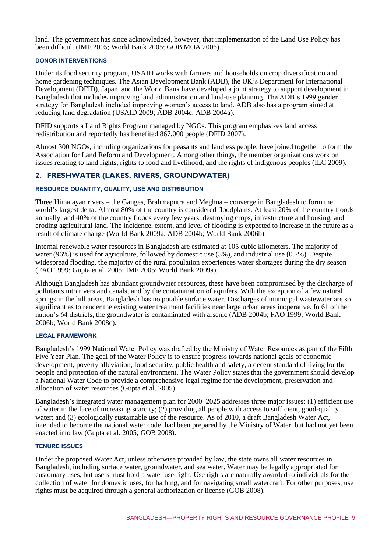land. The government has since acknowledged, however, that implementation of the Land Use Policy has been difficult (IMF 2005; World Bank 2005; GOB MOA 2006).

#### **DONOR INTERVENTIONS**

Under its food security program, USAID works with farmers and households on crop diversification and home gardening techniques. The Asian Development Bank (ADB), the UK's Department for International Development (DFID), Japan, and the World Bank have developed a joint strategy to support development in Bangladesh that includes improving land administration and land-use planning. The ADB's 1999 gender strategy for Bangladesh included improving women's access to land. ADB also has a program aimed at reducing land degradation (USAID 2009; ADB 2004c; ADB 2004a).

DFID supports a Land Rights Program managed by NGOs. This program emphasizes land access redistribution and reportedly has benefited 867,000 people (DFID 2007).

Almost 300 NGOs, including organizations for peasants and landless people, have joined together to form the Association for Land Reform and Development. Among other things, the member organizations work on issues relating to land rights, rights to food and livelihood, and the rights of indigenous peoples (ILC 2009).

### **2. FRESHWATER (LAKES, RIVERS, GROUNDWATER)**

#### **RESOURCE QUANTITY, QUALITY, USE AND DISTRIBUTION**

Three Himalayan rivers – the Ganges, Brahmaputra and Meghna – converge in Bangladesh to form the world's largest delta. Almost 80% of the country is considered floodplains. At least 20% of the country floods annually, and 40% of the country floods every few years, destroying crops, infrastructure and housing, and eroding agricultural land. The incidence, extent, and level of flooding is expected to increase in the future as a result of climate change (World Bank 2009a; ADB 2004b; World Bank 2006b).

Internal renewable water resources in Bangladesh are estimated at 105 cubic kilometers. The majority of water (96%) is used for agriculture, followed by domestic use (3%), and industrial use (0.7%). Despite widespread flooding, the majority of the rural population experiences water shortages during the dry season (FAO 1999; Gupta et al. 2005; IMF 2005; World Bank 2009a).

Although Bangladesh has abundant groundwater resources, these have been compromised by the discharge of pollutants into rivers and canals, and by the contamination of aquifers. With the exception of a few natural springs in the hill areas, Bangladesh has no potable surface water. Discharges of municipal wastewater are so significant as to render the existing water treatment facilities near large urban areas inoperative. In 61 of the nation's 64 districts, the groundwater is contaminated with arsenic (ADB 2004b; FAO 1999; World Bank 2006b; World Bank 2008c).

#### **LEGAL FRAMEWORK**

Bangladesh's 1999 National Water Policy was drafted by the Ministry of Water Resources as part of the Fifth Five Year Plan. The goal of the Water Policy is to ensure progress towards national goals of economic development, poverty alleviation, food security, public health and safety, a decent standard of living for the people and protection of the natural environment. The Water Policy states that the government should develop a National Water Code to provide a comprehensive legal regime for the development, preservation and allocation of water resources (Gupta et al. 2005).

Bangladesh's integrated water management plan for 2000–2025 addresses three major issues: (1) efficient use of water in the face of increasing scarcity;  $(2)$  providing all people with access to sufficient, good-quality water; and (3) ecologically sustainable use of the resource. As of 2010, a draft Bangladesh Water Act, intended to become the national water code, had been prepared by the Ministry of Water, but had not yet been enacted into law (Gupta et al. 2005; GOB 2008).

#### **TENURE ISSUES**

Under the proposed Water Act, unless otherwise provided by law, the state owns all water resources in Bangladesh, including surface water, groundwater, and sea water. Water may be legally appropriated for customary uses, but users must hold a water use-right. Use rights are naturally awarded to individuals for the collection of water for domestic uses, for bathing, and for navigating small watercraft. For other purposes, use rights must be acquired through a general authorization or license (GOB 2008).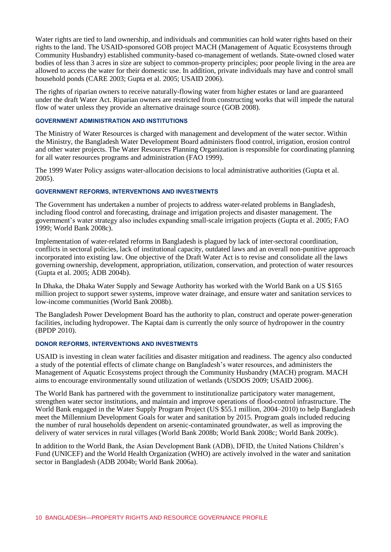Water rights are tied to land ownership, and individuals and communities can hold water rights based on their rights to the land. The USAID-sponsored GOB project MACH (Management of Aquatic Ecosystems through Community Husbandry) established community-based co-management of wetlands. State-owned closed water bodies of less than 3 acres in size are subject to common-property principles; poor people living in the area are allowed to access the water for their domestic use. In addition, private individuals may have and control small household ponds (CARE 2003; Gupta et al. 2005; USAID 2006).

The rights of riparian owners to receive naturally-flowing water from higher estates or land are guaranteed under the draft Water Act. Riparian owners are restricted from constructing works that will impede the natural flow of water unless they provide an alternative drainage source (GOB 2008).

#### **GOVERNMENT ADMINISTRATION AND INSTITUTIONS**

The Ministry of Water Resources is charged with management and development of the water sector. Within the Ministry, the Bangladesh Water Development Board administers flood control, irrigation, erosion control and other water projects. The Water Resources Planning Organization is responsible for coordinating planning for all water resources programs and administration (FAO 1999).

The 1999 Water Policy assigns water-allocation decisions to local administrative authorities (Gupta et al. 2005).

#### **GOVERNMENT REFORMS, INTERVENTIONS AND INVESTMENTS**

The Government has undertaken a number of projects to address water-related problems in Bangladesh, including flood control and forecasting, drainage and irrigation projects and disaster management. The government's water strategy also includes expanding small-scale irrigation projects (Gupta et al. 2005; FAO 1999; World Bank 2008c).

Implementation of water-related reforms in Bangladesh is plagued by lack of inter-sectoral coordination, conflicts in sectoral policies, lack of institutional capacity, outdated laws and an overall non-punitive approach incorporated into existing law. One objective of the Draft Water Act is to revise and consolidate all the laws governing ownership, development, appropriation, utilization, conservation, and protection of water resources (Gupta et al. 2005; ADB 2004b).

In Dhaka, the Dhaka Water Supply and Sewage Authority has worked with the World Bank on a US \$165 million project to support sewer systems, improve water drainage, and ensure water and sanitation services to low-income communities (World Bank 2008b).

The Bangladesh Power Development Board has the authority to plan, construct and operate power-generation facilities, including hydropower. The Kaptai dam is currently the only source of hydropower in the country (BPDP 2010).

#### **DONOR REFORMS, INTERVENTIONS AND INVESTMENTS**

USAID is investing in clean water facilities and disaster mitigation and readiness. The agency also conducted a study of the potential effects of climate change on Bangladesh's water resources, and administers the Management of Aquatic Ecosystems project through the Community Husbandry (MACH) program. MACH aims to encourage environmentally sound utilization of wetlands (USDOS 2009; USAID 2006).

The World Bank has partnered with the government to institutionalize participatory water management, strengthen water sector institutions, and maintain and improve operations of flood-control infrastructure. The World Bank engaged in the Water Supply Program Project (US \$55.1 million, 2004–2010) to help Bangladesh meet the Millennium Development Goals for water and sanitation by 2015. Program goals included reducing the number of rural households dependent on arsenic-contaminated groundwater, as well as improving the delivery of water services in rural villages (World Bank 2008b; World Bank 2008c; World Bank 2009c).

In addition to the World Bank, the Asian Development Bank (ADB), DFID, the United Nations Children's Fund (UNICEF) and the World Health Organization (WHO) are actively involved in the water and sanitation sector in Bangladesh (ADB 2004b; World Bank 2006a).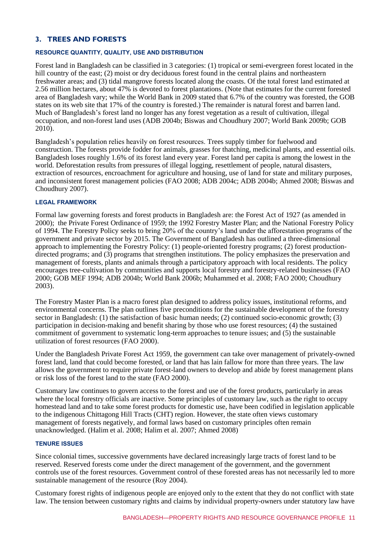## **3. TREES AND FORESTS**

#### **RESOURCE QUANTITY, QUALITY, USE AND DISTRIBUTION**

Forest land in Bangladesh can be classified in 3 categories: (1) tropical or semi-evergreen forest located in the hill country of the east; (2) moist or dry deciduous forest found in the central plains and northeastern freshwater areas; and (3) tidal mangrove forests located along the coasts. Of the total forest land estimated at 2.56 million hectares, about 47% is devoted to forest plantations. (Note that estimates for the current forested area of Bangladesh vary; while the World Bank in 2009 stated that 6.7% of the country was forested, the GOB states on its web site that 17% of the country is forested.) The remainder is natural forest and barren land. Much of Bangladesh's forest land no longer has any forest vegetation as a result of cultivation, illegal occupation, and non-forest land uses (ADB 2004b; Biswas and Choudhury 2007; World Bank 2009b; GOB 2010).

Bangladesh's population relies heavily on forest resources. Trees supply timber for fuelwood and construction. The forests provide fodder for animals, grasses for thatching, medicinal plants, and essential oils. Bangladesh loses roughly 1.6% of its forest land every year. Forest land per capita is among the lowest in the world. Deforestation results from pressures of illegal logging, resettlement of people, natural disasters, extraction of resources, encroachment for agriculture and housing, use of land for state and military purposes, and inconsistent forest management policies (FAO 2008; ADB 2004c; ADB 2004b; Ahmed 2008; Biswas and Choudhury 2007).

#### **LEGAL FRAMEWORK**

Formal law governing forests and forest products in Bangladesh are: the Forest Act of 1927 (as amended in 2000); the Private Forest Ordinance of 1959; the 1992 Forestry Master Plan; and the National Forestry Policy of 1994. The Forestry Policy seeks to bring 20% of the country's land under the afforestation programs of the government and private sector by 2015. The Government of Bangladesh has outlined a three-dimensional approach to implementing the Forestry Policy: (1) people-oriented forestry programs; (2) forest productiondirected programs; and (3) programs that strengthen institutions. The policy emphasizes the preservation and management of forests, plants and animals through a participatory approach with local residents. The policy encourages tree-cultivation by communities and supports local forestry and forestry-related businesses (FAO 2000; GOB MEF 1994; ADB 2004b; World Bank 2006b; Muhammed et al. 2008; FAO 2000; Choudhury 2003).

The Forestry Master Plan is a macro forest plan designed to address policy issues, institutional reforms, and environmental concerns. The plan outlines five preconditions for the sustainable development of the forestry sector in Bangladesh: (1) the satisfaction of basic human needs; (2) continued socio-economic growth; (3) participation in decision-making and benefit sharing by those who use forest resources; (4) the sustained commitment of government to systematic long-term approaches to tenure issues; and (5) the sustainable utilization of forest resources (FAO 2000).

Under the Bangladesh Private Forest Act 1959, the government can take over management of privately-owned forest land, land that could become forested, or land that has lain fallow for more than three years. The law allows the government to require private forest-land owners to develop and abide by forest management plans or risk loss of the forest land to the state (FAO 2000).

Customary law continues to govern access to the forest and use of the forest products, particularly in areas where the local forestry officials are inactive. Some principles of customary law, such as the right to occupy homestead land and to take some forest products for domestic use, have been codified in legislation applicable to the indigenous Chittagong Hill Tracts (CHT) region. However, the state often views customary management of forests negatively, and formal laws based on customary principles often remain unacknowledged. (Halim et al. 2008; Halim et al. 2007; Ahmed 2008)

#### **TENURE ISSUES**

Since colonial times, successive governments have declared increasingly large tracts of forest land to be reserved. Reserved forests come under the direct management of the government, and the government controls use of the forest resources. Government control of these forested areas has not necessarily led to more sustainable management of the resource (Roy 2004).

Customary forest rights of indigenous people are enjoyed only to the extent that they do not conflict with state law. The tension between customary rights and claims by individual property-owners under statutory law have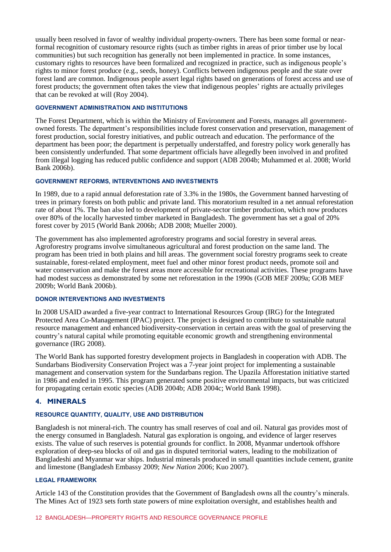usually been resolved in favor of wealthy individual property-owners. There has been some formal or nearformal recognition of customary resource rights (such as timber rights in areas of prior timber use by local communities) but such recognition has generally not been implemented in practice. In some instances, customary rights to resources have been formalized and recognized in practice, such as indigenous people's rights to minor forest produce (e.g., seeds, honey). Conflicts between indigenous people and the state over forest land are common. Indigenous people assert legal rights based on generations of forest access and use of forest products; the government often takes the view that indigenous peoples' rights are actually privileges that can be revoked at will (Roy 2004).

#### **GOVERNMENT ADMINISTRATION AND INSTITUTIONS**

The Forest Department, which is within the Ministry of Environment and Forests, manages all governmentowned forests. The department's responsibilities include forest conservation and preservation, management of forest production, social forestry initiatives, and public outreach and education. The performance of the department has been poor; the department is perpetually understaffed, and forestry policy work generally has been consistently underfunded. That some department officials have allegedly been involved in and profited from illegal logging has reduced public confidence and support (ADB 2004b; Muhammed et al. 2008; World Bank 2006b).

#### **GOVERNMENT REFORMS, INTERVENTIONS AND INVESTMENTS**

In 1989, due to a rapid annual deforestation rate of 3.3% in the 1980s, the Government banned harvesting of trees in primary forests on both public and private land. This moratorium resulted in a net annual reforestation rate of about 1%. The ban also led to development of private-sector timber production, which now produces over 80% of the locally harvested timber marketed in Bangladesh. The government has set a goal of 20% forest cover by 2015 (World Bank 2006b; ADB 2008; Mueller 2000).

The government has also implemented agroforestry programs and social forestry in several areas. Agroforestry programs involve simultaneous agricultural and forest production on the same land. The program has been tried in both plains and hill areas. The government social forestry programs seek to create sustainable, forest-related employment, meet fuel and other minor forest product needs, promote soil and water conservation and make the forest areas more accessible for recreational activities. These programs have had modest success as demonstrated by some net reforestation in the 1990s (GOB MEF 2009a; GOB MEF 2009b; World Bank 2006b).

#### **DONOR INTERVENTIONS AND INVESTMENTS**

In 2008 USAID awarded a five-year contract to International Resources Group (IRG) for the Integrated Protected Area Co-Management (IPAC) project. The project is designed to contribute to sustainable natural resource management and enhanced biodiversity-conservation in certain areas with the goal of preserving the country's natural capital while promoting equitable economic growth and strengthening environmental governance (IRG 2008).

The World Bank has supported forestry development projects in Bangladesh in cooperation with ADB. The Sundarbans Biodiversity Conservation Project was a 7-year joint project for implementing a sustainable management and conservation system for the Sundarbans region. The Upazila Afforestation initiative started in 1986 and ended in 1995. This program generated some positive environmental impacts, but was criticized for propagating certain exotic species (ADB 2004b; ADB 2004c; World Bank 1998).

#### **4. MINERALS**

#### **RESOURCE QUANTITY, QUALITY, USE AND DISTRIBUTION**

Bangladesh is not mineral-rich. The country has small reserves of coal and oil. Natural gas provides most of the energy consumed in Bangladesh. Natural gas exploration is ongoing, and evidence of larger reserves exists. The value of such reserves is potential grounds for conflict. In 2008, Myanmar undertook offshore exploration of deep-sea blocks of oil and gas in disputed territorial waters, leading to the mobilization of Bangladeshi and Myanmar war ships. Industrial minerals produced in small quantities include cement, granite and limestone (Bangladesh Embassy 2009; *New Nation* 2006; Kuo 2007).

#### **LEGAL FRAMEWORK**

Article 143 of the Constitution provides that the Government of Bangladesh owns all the country's minerals. The Mines Act of 1923 sets forth state powers of mine exploitation oversight, and establishes health and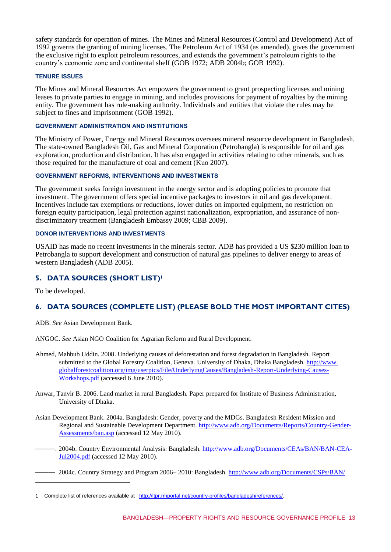safety standards for operation of mines. The Mines and Mineral Resources (Control and Development) Act of 1992 governs the granting of mining licenses. The Petroleum Act of 1934 (as amended), gives the government the exclusive right to exploit petroleum resources, and extends the government's petroleum rights to the country's economic zone and continental shelf (GOB 1972; ADB 2004b; GOB 1992).

#### **TENURE ISSUES**

The Mines and Mineral Resources Act empowers the government to grant prospecting licenses and mining leases to private parties to engage in mining, and includes provisions for payment of royalties by the mining entity. The government has rule-making authority. Individuals and entities that violate the rules may be subject to fines and imprisonment (GOB 1992).

#### **GOVERNMENT ADMINISTRATION AND INSTITUTIONS**

The Ministry of Power, Energy and Mineral Resources oversees mineral resource development in Bangladesh. The state-owned Bangladesh Oil, Gas and Mineral Corporation (Petrobangla) is responsible for oil and gas exploration, production and distribution. It has also engaged in activities relating to other minerals, such as those required for the manufacture of coal and cement (Kuo 2007).

#### **GOVERNMENT REFORMS, INTERVENTIONS AND INVESTMENTS**

The government seeks foreign investment in the energy sector and is adopting policies to promote that investment. The government offers special incentive packages to investors in oil and gas development. Incentives include tax exemptions or reductions, lower duties on imported equipment, no restriction on foreign equity participation, legal protection against nationalization, expropriation, and assurance of nondiscriminatory treatment (Bangladesh Embassy 2009; CBB 2009).

#### **DONOR INTERVENTIONS AND INVESTMENTS**

USAID has made no recent investments in the minerals sector. ADB has provided a US \$230 million loan to Petrobangla to support development and construction of natural gas pipelines to deliver energy to areas of western Bangladesh (ADB 2005).

## **5. DATA SOURCES (SHORT LIST)<sup>1</sup>**

To be developed.

1

## **6. DATA SOURCES (COMPLETE LIST) (PLEASE BOLD THE MOST IMPORTANT CITES)**

ADB. *See* Asian Development Bank.

ANGOC. *See* Asian NGO Coalition for Agrarian Reform and Rural Development.

- Ahmed, Mahbub Uddin. 2008. Underlying causes of deforestation and forest degradation in Bangladesh. Report submitted to the Global Forestry Coalition, Geneva. University of Dhaka, Dhaka Bangladesh. [http://www.](../../nsk/My%20Documents/WRI/IN%20PROGRESS%20FILES/BANGLADESH%20NA%20in%20progress%206.6.10.docx) [globalforestcoalition.org/img/userpics/File/UnderlyingCauses/Bangladesh-Report-Underlying-Causes-](../../nsk/My%20Documents/WRI/IN%20PROGRESS%20FILES/BANGLADESH%20NA%20in%20progress%206.6.10.docx)[Workshops.pdf](../../nsk/My%20Documents/WRI/IN%20PROGRESS%20FILES/BANGLADESH%20NA%20in%20progress%206.6.10.docx) (accessed 6 June 2010).
- Anwar, Tanvir B. 2006. Land market in rural Bangladesh. Paper prepared for Institute of Business Administration, University of Dhaka.
- Asian Development Bank. 2004a. Bangladesh: Gender, poverty and the MDGs. Bangladesh Resident Mission and Regional and Sustainable Development Department. [http://www.adb.org/Documents/Reports/Country-Gender-](../../nsk/My%20Documents/WRI/IN%20PROGRESS%20FILES/BANGLADESH%20NA%20in%20progress%206.6.10.docx)[Assessments/ban.asp](../../nsk/My%20Documents/WRI/IN%20PROGRESS%20FILES/BANGLADESH%20NA%20in%20progress%206.6.10.docx) (accessed 12 May 2010).
- ———. 2004b. Country Environmental Analysis: Bangladesh. [http://www.adb.org/Documents/CEAs/BAN/BAN-CEA-](../../nsk/My%20Documents/WRI/IN%20PROGRESS%20FILES/BANGLADESH%20NA%20in%20progress%206.6.10.docx)[Jul2004.pdf](../../nsk/My%20Documents/WRI/IN%20PROGRESS%20FILES/BANGLADESH%20NA%20in%20progress%206.6.10.docx) (accessed 12 May 2010).
- ———. 2004c. Country Strategy and Program 2006– 2010: Bangladesh. [http://www.adb.org/Documents/CSPs/BAN/](../../nsk/My%20Documents/WRI/IN%20PROGRESS%20FILES/BANGLADESH%20NA%20in%20progress%206.6.10.docx)

<sup>1</sup> Complete list of references available at [http://ltpr.rmportal.net/country-profiles/bangladesh/references/.](http://ltpr.rmportal.net/country-profiles/bangladesh/references/)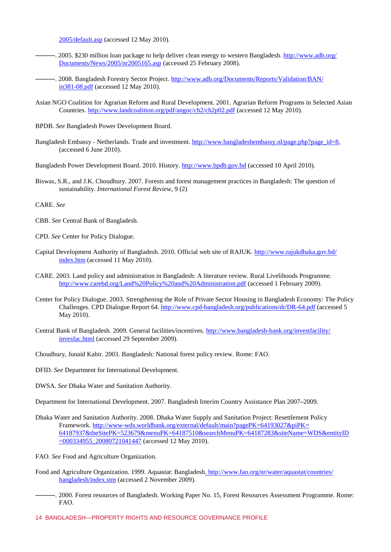2005/default.asp (accessed 12 May 2010).

- —, 2005. \$230 million loan package to help deliver clean energy to western Bangladesh. [http://www.adb.org/](../../nsk/My%20Documents/WRI/IN%20PROGRESS%20FILES/BANGLADESH%20NA%20in%20progress%206.6.10.docx) [Documents/News/2005/nr2005165.asp](../../nsk/My%20Documents/WRI/IN%20PROGRESS%20FILES/BANGLADESH%20NA%20in%20progress%206.6.10.docx) (accessed 25 February 2008).
- -. 2008. Bangladesh Forestry Sector Project. [http://www.adb.org/Documents/Reports/Validation/BAN/](../../nsk/My%20Documents/WRI/IN%20PROGRESS%20FILES/BANGLADESH%20NA%20in%20progress%206.6.10.docx) [in381-08.pdf](../../nsk/My%20Documents/WRI/IN%20PROGRESS%20FILES/BANGLADESH%20NA%20in%20progress%206.6.10.docx) (accessed 12 May 2010).
- Asian NGO Coalition for Agrarian Reform and Rural Development. 2001. Agrarian Reform Programs in Selected Asian Countries. <http://www.landcoalition.org/pdf/angoc/ch2/ch2p02.pdf> (accessed 12 May 2010).
- BPDB. *See* Bangladesh Power Development Board.
- Bangladesh Embassy Netherlands. Trade and investment. [http://www.bangladeshembassy.nl/page.php?page\\_id=8,](http://www.bangladeshembassy.nl/page.php?page_id=8) (accessed 6 June 2010).
- Bangladesh Power Development Board. 2010. History. [http://www.bpdb.gov.bd](http://www.bpdb.gov.bd/) (accessed 10 April 2010).
- Biswas, S.R., and J.K. Choudhury. 2007. Forests and forest management practices in Bangladesh: The question of sustainability. *International Forest Review,* 9 (2)

CARE. *See* 

- CBB. *See* Central Bank of Bangladesh.
- CPD. *See* Center for Policy Dialogue.
- Capital Development Authority of Bangladesh. 2010. Official web site of RAJUK. [http://www.rajukdhaka.gov.bd/](../../nsk/My%20Documents/WRI/IN%20PROGRESS%20FILES/BANGLADESH%20NA%20in%20progress%206.6.10.docx) [index.htm](../../nsk/My%20Documents/WRI/IN%20PROGRESS%20FILES/BANGLADESH%20NA%20in%20progress%206.6.10.docx) (accessed 11 May 2010).
- CARE. 2003. Land policy and administration in Bangladesh: A literature review. Rural Livelihoods Programme. <http://www.carebd.org/Land%20Policy%20and%20Administration.pdf> (accessed 1 February 2009).
- Center for Policy Dialogue. 2003. Strengthening the Role of Private Sector Housing in Bangladesh Economy: The Policy Challenges. CPD Dialogue Report 64.<http://www.cpd-bangladesh.org/publications/dr/DR-64.pdf> (accessed 5 May 2010).
- Central Bank of Bangladesh. 2009. General facilities/incentives. [http://www.bangladesh-bank.org/investfacility/](../../nsk/My%20Documents/WRI/IN%20PROGRESS%20FILES/BANGLADESH%20NA%20in%20progress%206.6.10.docx) [invesfac.html](../../nsk/My%20Documents/WRI/IN%20PROGRESS%20FILES/BANGLADESH%20NA%20in%20progress%206.6.10.docx) (accessed 29 September 2009).
- Choudhury, Junaid Kabir. 2003. Bangladesh: National forest policy review. Rome: FAO.
- DFID. *See* Department for International Development.
- DWSA. *See* Dhaka Water and Sanitation Authority.
- Department for International Development. 2007. Bangladesh Interim Country Assistance Plan 2007–2009.
- Dhaka Water and Sanitation Authority. 2008. Dhaka Water Supply and Sanitation Project: Resettlement Policy Framework. [http://www-wds.worldbank.org/external/default/main?pagePK=64193027&piPK=](../../nsk/My%20Documents/WRI/IN%20PROGRESS%20FILES/BANGLADESH%20NA%20in%20progress%206.6.10.docx) [64187937&theSitePK=523679&menuPK=64187510&searchMenuPK=64187283&siteName=WDS&entityID](../../nsk/My%20Documents/WRI/IN%20PROGRESS%20FILES/BANGLADESH%20NA%20in%20progress%206.6.10.docx) [=000334955\\_20080721041447](../../nsk/My%20Documents/WRI/IN%20PROGRESS%20FILES/BANGLADESH%20NA%20in%20progress%206.6.10.docx) (accessed 12 May 2010).
- FAO. *See* Food and Agriculture Organization.
- Food and Agriculture Organization. 1999. Aquastat: Banglades[h. http://www.fao.org/nr/water/aquastat/countries/](../../nsk/My%20Documents/WRI/IN%20PROGRESS%20FILES/BANGLADESH%20NA%20in%20progress%206.6.10.docx) [bangladesh/index.stm](../../nsk/My%20Documents/WRI/IN%20PROGRESS%20FILES/BANGLADESH%20NA%20in%20progress%206.6.10.docx) (accessed 2 November 2009).
- ———. 2000. Forest resources of Bangladesh. Working Paper No. 15, Forest Resources Assessment Programme. Rome: FAO.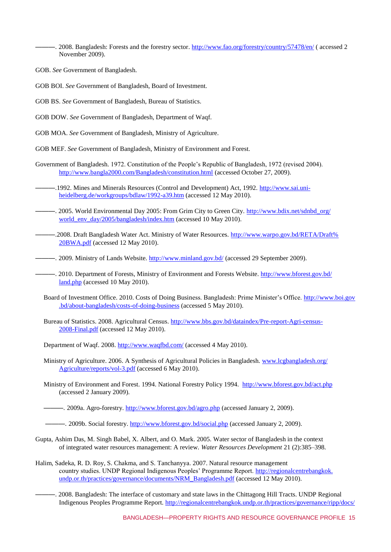-. 2008. Bangladesh: Forests and the forestry sector. <http://www.fao.org/forestry/country/57478/en/> ( accessed 2 November 2009).

- GOB. *See* Government of Bangladesh.
- GOB BOI. *See* Government of Bangladesh, Board of Investment.
- GOB BS. *See* Government of Bangladesh, Bureau of Statistics.
- GOB DOW. *See* Government of Bangladesh, Department of Waqf.
- GOB MOA. *See* Government of Bangladesh, Ministry of Agriculture.
- GOB MEF. *See* Government of Bangladesh, Ministry of Environment and Forest.
- Government of Bangladesh. 1972. Constitution of the People's Republic of Bangladesh, 1972 (revised 2004). <http://www.bangla2000.com/Bangladesh/constitution.html> (accessed October 27, 2009).
- ———.1992. Mines and Minerals Resources (Control and Development) Act, 1992. [http://www.sai.uni](../../nsk/My%20Documents/WRI/IN%20PROGRESS%20FILES/BANGLADESH%20NA%20in%20progress%206.6.10.docx)[heidelberg.de/workgroups/bdlaw/1992-a39.htm](../../nsk/My%20Documents/WRI/IN%20PROGRESS%20FILES/BANGLADESH%20NA%20in%20progress%206.6.10.docx) (accessed 12 May 2010).
- ——. 2005. World Environmental Day 2005: From Grim City to Green City. [http://www.bdix.net/sdnbd\\_org/](../../nsk/My%20Documents/WRI/IN%20PROGRESS%20FILES/BANGLADESH%20NA%20in%20progress%206.6.10.docx) [world\\_env\\_day/2005/bangladesh/index.htm](../../nsk/My%20Documents/WRI/IN%20PROGRESS%20FILES/BANGLADESH%20NA%20in%20progress%206.6.10.docx) (accessed 10 May 2010).
- ———.2008. Draft Bangladesh Water Act. Ministry of Water Resources. [http://www.warpo.gov.bd/RETA/Draft%](../../nsk/My%20Documents/WRI/IN%20PROGRESS%20FILES/BANGLADESH%20NA%20in%20progress%206.6.10.docx) [20BWA.pdf](../../nsk/My%20Documents/WRI/IN%20PROGRESS%20FILES/BANGLADESH%20NA%20in%20progress%206.6.10.docx) (accessed 12 May 2010).
- —. 2009. Ministry of Lands Website.<http://www.minland.gov.bd/> (accessed 29 September 2009).
- ——. 2010. Department of Forests, Ministry of Environment and Forests Website. [http://www.bforest.gov.bd/](../../nsk/My%20Documents/WRI/IN%20PROGRESS%20FILES/BANGLADESH%20NA%20in%20progress%206.6.10.docx) [land.php](../../nsk/My%20Documents/WRI/IN%20PROGRESS%20FILES/BANGLADESH%20NA%20in%20progress%206.6.10.docx) (accessed 10 May 2010).
- Board of Investment Office. 2010. Costs of Doing Business. Bangladesh: Prime Minister's Office. [http://www.boi.gov](../../nsk/My%20Documents/WRI/IN%20PROGRESS%20FILES/BANGLADESH%20NA%20in%20progress%206.6.10.docx) [.bd/about-bangladesh/costs-of-doing-business](../../nsk/My%20Documents/WRI/IN%20PROGRESS%20FILES/BANGLADESH%20NA%20in%20progress%206.6.10.docx) (accessed 5 May 2010).
- Bureau of Statistics. 2008. Agricultural Census. [http://www.bbs.gov.bd/dataindex/Pre-report-Agri-census-](../../nsk/My%20Documents/WRI/IN%20PROGRESS%20FILES/BANGLADESH%20NA%20in%20progress%206.6.10.docx)[2008-Final.pdf](../../nsk/My%20Documents/WRI/IN%20PROGRESS%20FILES/BANGLADESH%20NA%20in%20progress%206.6.10.docx) (accessed 12 May 2010).
- Department of Waqf. 2008. <http://www.waqfbd.com/> (accessed 4 May 2010).
- Ministry of Agriculture. 2006. A Synthesis of Agricultural Policies in Bangladesh. [www.lcgbangladesh.org/](../../nsk/My%20Documents/WRI/IN%20PROGRESS%20FILES/BANGLADESH%20NA%20in%20progress%206.6.10.docx) [Agriculture/reports/vol-3.pdf](../../nsk/My%20Documents/WRI/IN%20PROGRESS%20FILES/BANGLADESH%20NA%20in%20progress%206.6.10.docx) (accessed 6 May 2010).
- Ministry of Environment and Forest. 1994. National Forestry Policy 1994. <http://www.bforest.gov.bd/act.php> (accessed 2 January 2009).

———. 2009a. Agro-forestry.<http://www.bforest.gov.bd/agro.php> (accessed January 2, 2009).

- ——. 2009b. Social forestry. <http://www.bforest.gov.bd/social.php> (accessed January 2, 2009).
- Gupta, Ashim Das, M. Singh Babel, X. Albert, and O. Mark. 2005. Water sector of Bangladesh in the context of integrated water resources management: A review. *Water Resources Development* 21 (2):385–398.
- Halim, Sadeka, R. D. Roy, S. Chakma, and S. Tanchanyya. 2007. Natural resource management country studies. UNDP Regional Indigenous Peoples' Programme Report. [http://regionalcentrebangkok.](../../nsk/My%20Documents/WRI/IN%20PROGRESS%20FILES/BANGLADESH%20NA%20in%20progress%206.6.10.docx) [undp.or.th/practices/governance/documents/NRM\\_Bangladesh.pdf](../../nsk/My%20Documents/WRI/IN%20PROGRESS%20FILES/BANGLADESH%20NA%20in%20progress%206.6.10.docx) (accessed 12 May 2010).
- ———. 2008. Bangladesh: The interface of customary and state laws in the Chittagong Hill Tracts. UNDP Regional Indigenous Peoples Programme Report. [http://regionalcentrebangkok.undp.or.th/practices/governance/ripp/docs/](../../nsk/My%20Documents/WRI/IN%20PROGRESS%20FILES/BANGLADESH%20NA%20in%20progress%206.6.10.docx)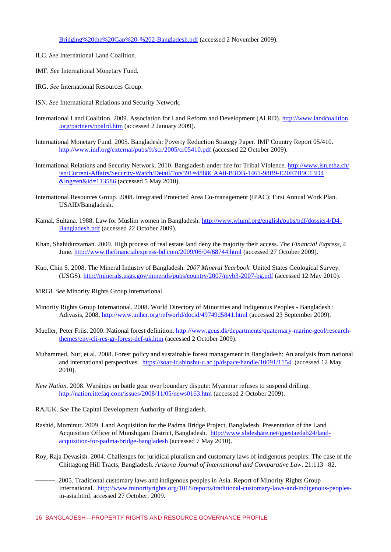Bridging%20the%20Gap%20-%202-Bangladesh.pdf (accessed 2 November 2009).

- ILC. *See* International Land Coalition.
- IMF. *See* International Monetary Fund.
- IRG. *See* International Resources Group.
- ISN. *See* International Relations and Security Network.
- International Land Coalition. 2009. Association for Land Reform and Development (ALRD). [http://www.landcoalition](../../nsk/My%20Documents/WRI/IN%20PROGRESS%20FILES/BANGLADESH%20NA%20in%20progress%206.6.10.docx) [.org/partners/ppalrd.htm](../../nsk/My%20Documents/WRI/IN%20PROGRESS%20FILES/BANGLADESH%20NA%20in%20progress%206.6.10.docx) (accessed 2 January 2009).
- International Monetary Fund. 2005. Bangladesh: Poverty Reduction Strategy Paper. IMF Country Report 05/410. <http://www.imf.org/external/pubs/ft/scr/2005/cr05410.pdf> (accessed 22 October 2009).
- International Relations and Security Network. 2010. Bangladesh under fire for Tribal Violence. [http://www.isn.ethz.ch/](../../nsk/My%20Documents/WRI/IN%20PROGRESS%20FILES/BANGLADESH%20NA%20in%20progress%206.6.10.docx) [isn/Current-Affairs/Security-Watch/Detail/?ots591=4888CAA0-B3DB-1461-98B9-E20E7B9C13D4](../../nsk/My%20Documents/WRI/IN%20PROGRESS%20FILES/BANGLADESH%20NA%20in%20progress%206.6.10.docx) [&lng=en&id=113586](../../nsk/My%20Documents/WRI/IN%20PROGRESS%20FILES/BANGLADESH%20NA%20in%20progress%206.6.10.docx) (accessed 5 May 2010).
- International Resources Group. 2008. Integrated Protected Area Co-management (IPAC): First Annual Work Plan. USAID/Bangladesh.
- Kamal, Sultana. 1988. Law for Muslim women in Bangladesh. [http://www.wluml.org/english/pubs/pdf/dossier4/D4-](../../nsk/My%20Documents/WRI/IN%20PROGRESS%20FILES/BANGLADESH%20NA%20in%20progress%206.6.10.docx) [Bangladesh.pdf](../../nsk/My%20Documents/WRI/IN%20PROGRESS%20FILES/BANGLADESH%20NA%20in%20progress%206.6.10.docx) (accessed 22 October 2009).
- Khan, Shahiduzzaman. 2009. High process of real estate land deny the majority their access. *The Financial Express*, 4 June.<http://www.thefinancialexpress-bd.com/2009/06/04/68744.html> (accessed 27 October 2009).
- Kuo, Chin S. 2008. The Mineral Industry of Bangladesh. *2007 Mineral Yearbook.* United States Geological Survey. (USGS).<http://minerals.usgs.gov/minerals/pubs/country/2007/myb3-2007-bg.pdf> (accessed 12 May 2010).
- MRGI. *See* Minority Rights Group International.
- Minority Rights Group International. 2008. World Directory of Minorities and Indigenous Peoples Bangladesh : Adivasis, 2008. <http://www.unhcr.org/refworld/docid/49749d5841.html> (accessed 23 September 2009).
- Mueller, Peter Friis. 2000. National forest definition. [http://www.geus.dk/departments/quaternary-marine-geol/research](../../nsk/My%20Documents/WRI/IN%20PROGRESS%20FILES/BANGLADESH%20NA%20in%20progress%206.6.10.docx)[themes/env-cli-res-gr-forest-def-uk.htm](../../nsk/My%20Documents/WRI/IN%20PROGRESS%20FILES/BANGLADESH%20NA%20in%20progress%206.6.10.docx) (accessed 2 October 2009).
- Muhammed, Nur, et al. 2008. Forest policy and sustainable forest management in Bangladesh: An analysis from national and international perspectives. <https://soar-ir.shinshu-u.ac.jp/dspace/handle/10091/1154>(accessed 12 May 2010).
- *New Nation.* 2008. Warships on battle gear over boundary dispute: Myanmar refuses to suspend drilling. <http://nation.ittefaq.com/issues/2008/11/05/news0163.htm> (accessed 2 October 2009).
- RAJUK. *See* The Capital Development Authority of Bangladesh.
- Rashid, Mominur. 2009. Land Acquisition for the Padma Bridge Project, Bangladesh. Presentation of the Land Acquisition Officer of Munshigani District, Bangladesh. [http://www.slideshare.net/guestaedab24/land](http://www.slideshare.net/guestaedab24/land-acquisition-for-padma-bridge-bangladesh)[acquisition-for-padma-bridge-bangladesh](http://www.slideshare.net/guestaedab24/land-acquisition-for-padma-bridge-bangladesh) (accessed 7 May 2010).
- Roy, Raja Devasish. 2004. Challenges for juridical pluralism and customary laws of indigenous peoples: The case of the Chittagong Hill Tracts, Bangladesh. *Arizona Journal of International and Comparative Law*, 21:113– 82.
	- ———. 2005. Traditional customary laws and indigenous peoples in Asia. Report of Minority Rights Group International. [http://www.minorityrights.org/1018/reports/traditional-customary-laws-and-indigenous-peoples](http://www.minorityrights.org/1018/reports/traditional-customary-laws-and-indigenous-peoples-)in-asia.html, accessed 27 October, 2009.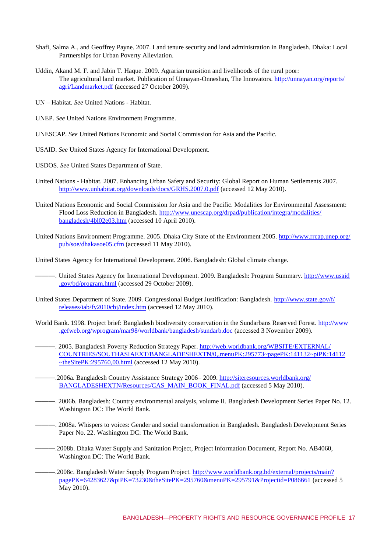- Shafi, Salma A., and Geoffrey Payne. 2007. Land tenure security and land administration in Bangladesh. Dhaka: Local Partnerships for Urban Poverty Alleviation.
- Uddin, Akand M. F. and Jabin T. Haque. 2009. Agrarian transition and livelihoods of the rural poor: The agricultural land market. Publication of Unnayan-Onneshan, The Innovators. [http://unnayan.org/reports/](../../nsk/My%20Documents/WRI/IN%20PROGRESS%20FILES/BANGLADESH%20NA%20in%20progress%206.6.10.docx) [agri/Landmarket.pdf](../../nsk/My%20Documents/WRI/IN%20PROGRESS%20FILES/BANGLADESH%20NA%20in%20progress%206.6.10.docx) (accessed 27 October 2009).
- UN Habitat. *See* United Nations Habitat.
- UNEP. *See* United Nations Environment Programme.
- UNESCAP. *See* United Nations Economic and Social Commission for Asia and the Pacific.
- USAID. *See* United States Agency for International Development.
- USDOS. *See* United States Department of State.
- United Nations Habitat. 2007. Enhancing Urban Safety and Security: Global Report on Human Settlements 2007. <http://www.unhabitat.org/downloads/docs/GRHS.2007.0.pdf> (accessed 12 May 2010).
- United Nations Economic and Social Commission for Asia and the Pacific. Modalities for Environmental Assessment: Flood Loss Reduction in Bangladesh. [http://www.unescap.org/drpad/publication/integra/modalities/](../../nsk/My%20Documents/WRI/IN%20PROGRESS%20FILES/BANGLADESH%20NA%20in%20progress%206.6.10.docx) [bangladesh/4bl02e03.htm](../../nsk/My%20Documents/WRI/IN%20PROGRESS%20FILES/BANGLADESH%20NA%20in%20progress%206.6.10.docx) (accessed 10 April 2010).
- United Nations Environment Programme. 2005. Dhaka City State of the Environment 2005. [http://www.rrcap.unep.org/](../../nsk/My%20Documents/WRI/IN%20PROGRESS%20FILES/BANGLADESH%20NA%20in%20progress%206.6.10.docx) [pub/soe/dhakasoe05.cfm](../../nsk/My%20Documents/WRI/IN%20PROGRESS%20FILES/BANGLADESH%20NA%20in%20progress%206.6.10.docx) (accessed 11 May 2010).
- United States Agency for International Development. 2006. Bangladesh: Global climate change.
- ——. United States Agency for International Development. 2009. Bangladesh: Program Summary. [http://www.usaid](../../nsk/My%20Documents/WRI/IN%20PROGRESS%20FILES/BANGLADESH%20NA%20in%20progress%206.6.10.docx) [.gov/bd/program.html](../../nsk/My%20Documents/WRI/IN%20PROGRESS%20FILES/BANGLADESH%20NA%20in%20progress%206.6.10.docx) (accessed 29 October 2009).
- United States Department of State. 2009. Congressional Budget Justification: Bangladesh. [http://www.state.gov/f/](../../nsk/My%20Documents/WRI/IN%20PROGRESS%20FILES/BANGLADESH%20NA%20in%20progress%206.6.10.docx) [releases/iab/fy2010cbj/index.htm](../../nsk/My%20Documents/WRI/IN%20PROGRESS%20FILES/BANGLADESH%20NA%20in%20progress%206.6.10.docx) (accessed 12 May 2010).
- World Bank. 1998. Project brief: Bangladesh biodiversity conservation in the Sundarbans Reserved Forest. [http://www](../../nsk/My%20Documents/WRI/IN%20PROGRESS%20FILES/BANGLADESH%20NA%20in%20progress%206.6.10.docx) [.gefweb.org/wprogram/mar98/worldbank/bangladesh/sundarb.doc](../../nsk/My%20Documents/WRI/IN%20PROGRESS%20FILES/BANGLADESH%20NA%20in%20progress%206.6.10.docx) (accessed 3 November 2009).
- ———. 2005. Bangladesh Poverty Reduction Strategy Paper. [http://web.worldbank.org/WBSITE/EXTERNAL/](../../nsk/My%20Documents/WRI/IN%20PROGRESS%20FILES/BANGLADESH%20NA%20in%20progress%206.6.10.docx) [COUNTRIES/SOUTHASIAEXT/BANGLADESHEXTN/0,,menuPK:295773~pagePK:141132~piPK:14112](../../nsk/My%20Documents/WRI/IN%20PROGRESS%20FILES/BANGLADESH%20NA%20in%20progress%206.6.10.docx)  $~\sim$ theSitePK:295760,00.html (accessed 12 May 2010).
- -2006a. Bangladesh Country Assistance Strategy 2006–2009. [http://siteresources.worldbank.org/](../../nsk/My%20Documents/WRI/IN%20PROGRESS%20FILES/BANGLADESH%20NA%20in%20progress%206.6.10.docx) [BANGLADESHEXTN/Resources/CAS\\_MAIN\\_BOOK\\_FINAL.pdf](../../nsk/My%20Documents/WRI/IN%20PROGRESS%20FILES/BANGLADESH%20NA%20in%20progress%206.6.10.docx) (accessed 5 May 2010).
- ———. 2006b. Bangladesh: Country environmental analysis, volume II. Bangladesh Development Series Paper No. 12. Washington DC: The World Bank.
- ———. 2008a. Whispers to voices: Gender and social transformation in Bangladesh. Bangladesh Development Series Paper No. 22. Washington DC: The World Bank.
	- ———.2008b. Dhaka Water Supply and Sanitation Project, Project Information Document, Report No. AB4060, Washington DC: The World Bank.
- -.2008c. Bangladesh Water Supply Program Project. [http://www.worldbank.org.bd/external/projects/main?](../../nsk/My%20Documents/WRI/IN%20PROGRESS%20FILES/BANGLADESH%20NA%20in%20progress%206.6.10.docx) [pagePK=64283627&piPK=73230&theSitePK=295760&menuPK=295791&Projectid=P086661](../../nsk/My%20Documents/WRI/IN%20PROGRESS%20FILES/BANGLADESH%20NA%20in%20progress%206.6.10.docx) (accessed 5 May 2010).